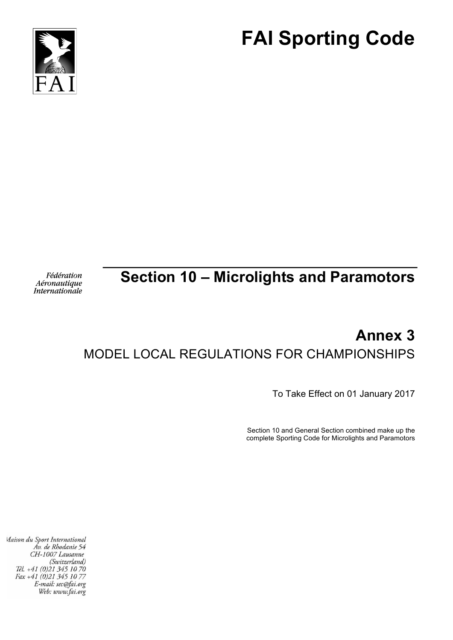



#### Fédération Aéronautique **Internationale**

# **Section 10 – Microlights and Paramotors**

# **Annex 3** MODEL LOCAL REGULATIONS FOR CHAMPIONSHIPS

To Take Effect on 01 January 2017

Section 10 and General Section combined make up the complete Sporting Code for Microlights and Paramotors

Maison du Sport International Áv. de Rhodanie 54 CH-1007 Lausanne (Switzerland) Tél. +41 (0)21 345 10 70 Fax +41 (0)21 345 10 77 E-mail: sec@fai.org Web: www.fai.org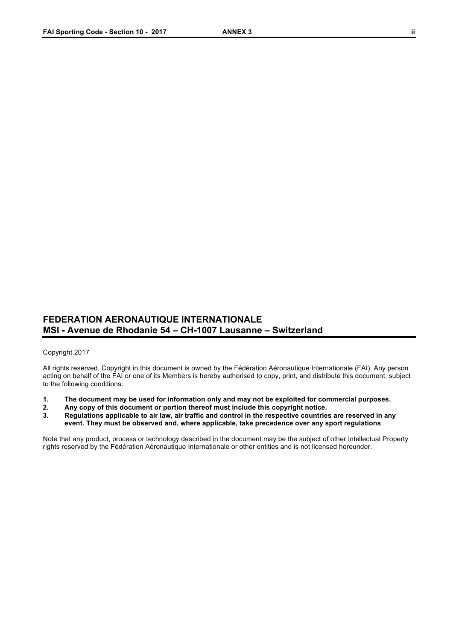### **FEDERATION AERONAUTIQUE INTERNATIONALE MSI - Avenue de Rhodanie 54 – CH-1007 Lausanne – Switzerland**

### Copyright 2017

All rights reserved. Copyright in this document is owned by the Fédération Aéronautique Internationale (FAI). Any person acting on behalf of the FAI or one of its Members is hereby authorised to copy, print, and distribute this document, subject to the following conditions:

- **1. The document may be used for information only and may not be exploited for commercial purposes.**
- **2. Any copy of this document or portion thereof must include this copyright notice.**
- **3. Regulations applicable to air law, air traffic and control in the respective countries are reserved in any event. They must be observed and, where applicable, take precedence over any sport regulations**

Note that any product, process or technology described in the document may be the subject of other Intellectual Property rights reserved by the Fédération Aéronautique Internationale or other entities and is not licensed hereunder.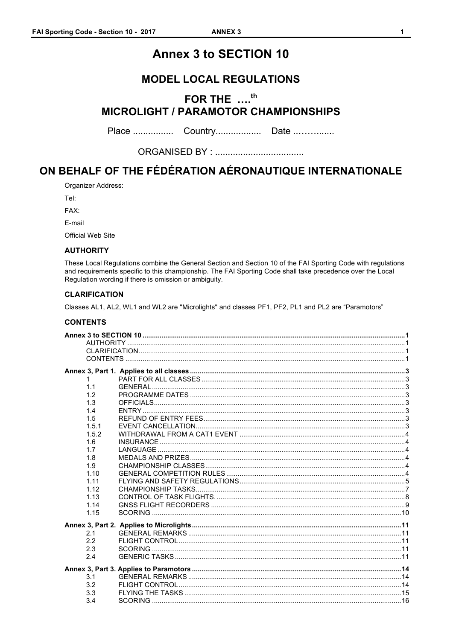# **Annex 3 to SECTION 10**

## **MODEL LOCAL REGULATIONS**

# FOR THE ....<sup>th</sup> **MICROLIGHT / PARAMOTOR CHAMPIONSHIPS**

# ON BEHALF OF THE FÉDÉRATION AÉRONAUTIQUE INTERNATIONALE

Organizer Address:

Tel:

FAX:

E-mail

Official Web Site

### **AUTHORITY**

These Local Regulations combine the General Section and Section 10 of the FAI Sporting Code with regulations and requirements specific to this championship. The FAI Sporting Code shall take precedence over the Local Regulation wording if there is omission or ambiguity.

### **CLARIFICATION**

Classes AL1, AL2, WL1 and WL2 are "Microlights" and classes PF1, PF2, PL1 and PL2 are "Paramotors"

### **CONTENTS**

| 1.    |  |
|-------|--|
| 1.1   |  |
| 1.2   |  |
| 1.3   |  |
| 1.4   |  |
| 1.5   |  |
| 1.5.1 |  |
| 1.5.2 |  |
| 1.6   |  |
| 1.7   |  |
| 1.8   |  |
| 1.9   |  |
| 1.10  |  |
| 1.11  |  |
| 1.12  |  |
| 1.13  |  |
| 1.14  |  |
| 1.15  |  |
|       |  |
| 2.1   |  |
| 2.2   |  |
| 2.3   |  |
| 2.4   |  |
|       |  |
| 3.1   |  |
| 3.2   |  |
| 3.3   |  |
| 3.4   |  |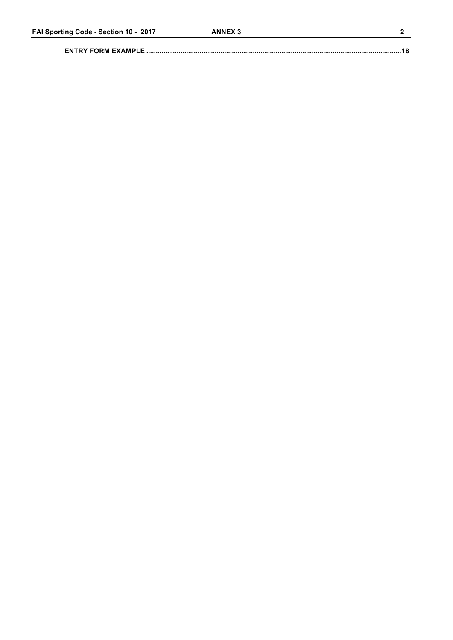##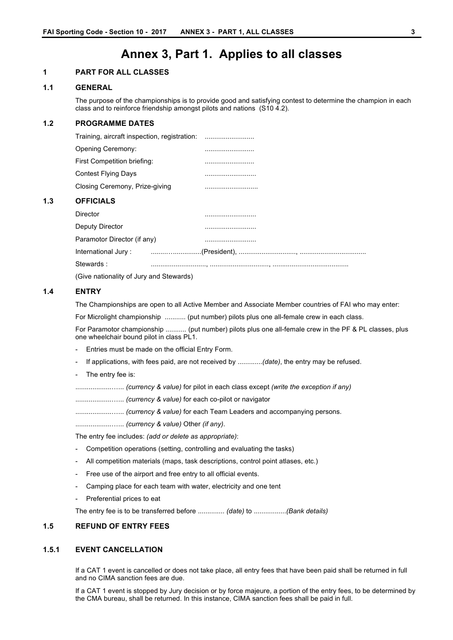# **Annex 3, Part 1. Applies to all classes**

### **1 PART FOR ALL CLASSES**

#### **1.1 GENERAL**

The purpose of the championships is to provide good and satisfying contest to determine the champion in each class and to reinforce friendship amongst pilots and nations (S10 4.2).

### **1.2 PROGRAMME DATES**

| Training, aircraft inspection, registration:<br> |
|--------------------------------------------------|
|                                                  |
|                                                  |
|                                                  |
|                                                  |
|                                                  |
|                                                  |
|                                                  |
|                                                  |
|                                                  |
|                                                  |
|                                                  |

(Give nationality of Jury and Stewards)

### **1.4 ENTRY**

**1.3 OFFICIALS**

The Championships are open to all Active Member and Associate Member countries of FAI who may enter:

For Microlight championship ........... (put number) pilots plus one all-female crew in each class.

For Paramotor championship ........... (put number) pilots plus one all-female crew in the PF & PL classes, plus one wheelchair bound pilot in class PL1.

- Entries must be made on the official Entry Form.
- If applications, with fees paid, are not received by .............*(date)*, the entry may be refused.
- The entry fee is:

...................…... *(currency & value)* for pilot in each class except *(write the exception if any)*

...................…... *(currency & value)* for each co-pilot or navigator

...................…... *(currency & value)* for each Team Leaders and accompanying persons.

...................…... *(currency & value)* Other *(if any)*.

The entry fee includes: *(add or delete as appropriate)*:

- Competition operations (setting, controlling and evaluating the tasks)
- All competition materials (maps, task descriptions, control point atlases, etc.)
- Free use of the airport and free entry to all official events.
- Camping place for each team with water, electricity and one tent
- Preferential prices to eat

The entry fee is to be transferred before .............. *(date)* to .................*(Bank details)*

### **1.5 REFUND OF ENTRY FEES**

### **1.5.1 EVENT CANCELLATION**

If a CAT 1 event is cancelled or does not take place, all entry fees that have been paid shall be returned in full and no CIMA sanction fees are due.

If a CAT 1 event is stopped by Jury decision or by force majeure, a portion of the entry fees, to be determined by the CMA bureau, shall be returned. In this instance, CIMA sanction fees shall be paid in full.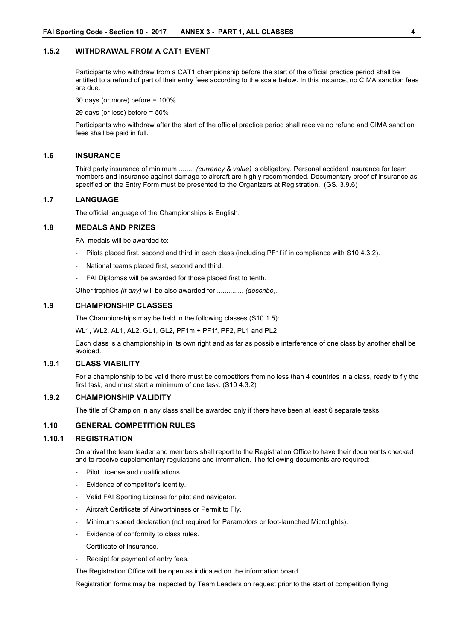### **1.5.2 WITHDRAWAL FROM A CAT1 EVENT**

Participants who withdraw from a CAT1 championship before the start of the official practice period shall be entitled to a refund of part of their entry fees according to the scale below. In this instance, no CIMA sanction fees are due.

30 days (or more) before = 100%

29 days (or less) before = 50%

Participants who withdraw after the start of the official practice period shall receive no refund and CIMA sanction fees shall be paid in full.

#### **1.6 INSURANCE**

Third party insurance of minimum ........ *(currency & value)* is obligatory. Personal accident insurance for team members and insurance against damage to aircraft are highly recommended. Documentary proof of insurance as specified on the Entry Form must be presented to the Organizers at Registration. (GS. 3.9.6)

### **1.7 LANGUAGE**

The official language of the Championships is English.

### **1.8 MEDALS AND PRIZES**

FAI medals will be awarded to:

- Pilots placed first, second and third in each class (including PF1f if in compliance with S10 4.3.2).
- National teams placed first, second and third.
- FAI Diplomas will be awarded for those placed first to tenth.

Other trophies *(if any)* will be also awarded for .............. *(describe)*.

### **1.9 CHAMPIONSHIP CLASSES**

The Championships may be held in the following classes (S10 1.5):

WL1, WL2, AL1, AL2, GL1, GL2, PF1m + PF1f, PF2, PL1 and PL2

Each class is a championship in its own right and as far as possible interference of one class by another shall be avoided.

### **1.9.1 CLASS VIABILITY**

For a championship to be valid there must be competitors from no less than 4 countries in a class, ready to fly the first task, and must start a minimum of one task. (S10 4.3.2)

#### **1.9.2 CHAMPIONSHIP VALIDITY**

The title of Champion in any class shall be awarded only if there have been at least 6 separate tasks.

### **1.10 GENERAL COMPETITION RULES**

### **1.10.1 REGISTRATION**

On arrival the team leader and members shall report to the Registration Office to have their documents checked and to receive supplementary regulations and information. The following documents are required:

- Pilot License and qualifications.
- Evidence of competitor's identity.
- Valid FAI Sporting License for pilot and navigator.
- Aircraft Certificate of Airworthiness or Permit to Fly.
- Minimum speed declaration (not required for Paramotors or foot-launched Microlights).
- Evidence of conformity to class rules.
- Certificate of Insurance.
- Receipt for payment of entry fees.
- The Registration Office will be open as indicated on the information board.

Registration forms may be inspected by Team Leaders on request prior to the start of competition flying.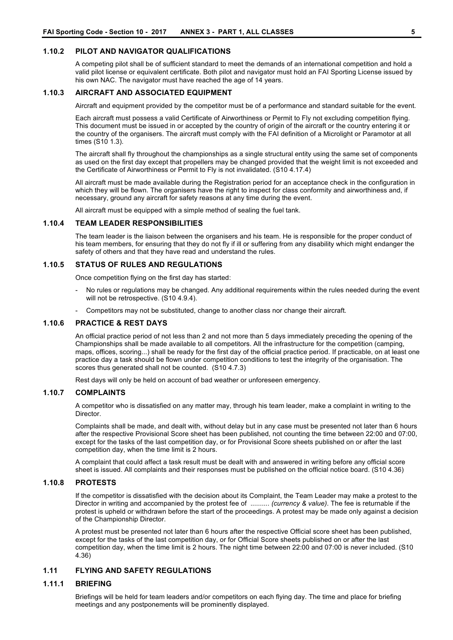#### **1.10.2 PILOT AND NAVIGATOR QUALIFICATIONS**

A competing pilot shall be of sufficient standard to meet the demands of an international competition and hold a valid pilot license or equivalent certificate. Both pilot and navigator must hold an FAI Sporting License issued by his own NAC. The navigator must have reached the age of 14 years.

### **1.10.3 AIRCRAFT AND ASSOCIATED EQUIPMENT**

Aircraft and equipment provided by the competitor must be of a performance and standard suitable for the event.

Each aircraft must possess a valid Certificate of Airworthiness or Permit to Fly not excluding competition flying. This document must be issued in or accepted by the country of origin of the aircraft or the country entering it or the country of the organisers. The aircraft must comply with the FAI definition of a Microlight or Paramotor at all times (S10 1.3).

The aircraft shall fly throughout the championships as a single structural entity using the same set of components as used on the first day except that propellers may be changed provided that the weight limit is not exceeded and the Certificate of Airworthiness or Permit to Fly is not invalidated. (S10 4.17.4)

All aircraft must be made available during the Registration period for an acceptance check in the configuration in which they will be flown. The organisers have the right to inspect for class conformity and airworthiness and, if necessary, ground any aircraft for safety reasons at any time during the event.

All aircraft must be equipped with a simple method of sealing the fuel tank.

### **1.10.4 TEAM LEADER RESPONSIBILITIES**

The team leader is the liaison between the organisers and his team. He is responsible for the proper conduct of his team members, for ensuring that they do not fly if ill or suffering from any disability which might endanger the safety of others and that they have read and understand the rules.

### **1.10.5 STATUS OF RULES AND REGULATIONS**

Once competition flying on the first day has started:

- No rules or regulations may be changed. Any additional requirements within the rules needed during the event will not be retrospective. (S10 4.9.4).
- Competitors may not be substituted, change to another class nor change their aircraft.

### **1.10.6 PRACTICE & REST DAYS**

An official practice period of not less than 2 and not more than 5 days immediately preceding the opening of the Championships shall be made available to all competitors. All the infrastructure for the competition (camping, maps, offices, scoring...) shall be ready for the first day of the official practice period. If practicable, on at least one practice day a task should be flown under competition conditions to test the integrity of the organisation. The scores thus generated shall not be counted. (S10 4.7.3)

Rest days will only be held on account of bad weather or unforeseen emergency.

### **1.10.7 COMPLAINTS**

A competitor who is dissatisfied on any matter may, through his team leader, make a complaint in writing to the **Director** 

Complaints shall be made, and dealt with, without delay but in any case must be presented not later than 6 hours after the respective Provisional Score sheet has been published, not counting the time between 22:00 and 07:00, except for the tasks of the last competition day, or for Provisional Score sheets published on or after the last competition day, when the time limit is 2 hours.

A complaint that could affect a task result must be dealt with and answered in writing before any official score sheet is issued. All complaints and their responses must be published on the official notice board. (S10 4.36)

### **1.10.8 PROTESTS**

If the competitor is dissatisfied with the decision about its Complaint, the Team Leader may make a protest to the Director in writing and accompanied by the protest fee of .......... *(currency & value)*. The fee is returnable if the protest is upheld or withdrawn before the start of the proceedings. A protest may be made only against a decision of the Championship Director.

A protest must be presented not later than 6 hours after the respective Official score sheet has been published, except for the tasks of the last competition day, or for Official Score sheets published on or after the last competition day, when the time limit is 2 hours. The night time between 22:00 and 07:00 is never included. (S10 4.36)

### **1.11 FLYING AND SAFETY REGULATIONS**

### **1.11.1 BRIEFING**

Briefings will be held for team leaders and/or competitors on each flying day. The time and place for briefing meetings and any postponements will be prominently displayed.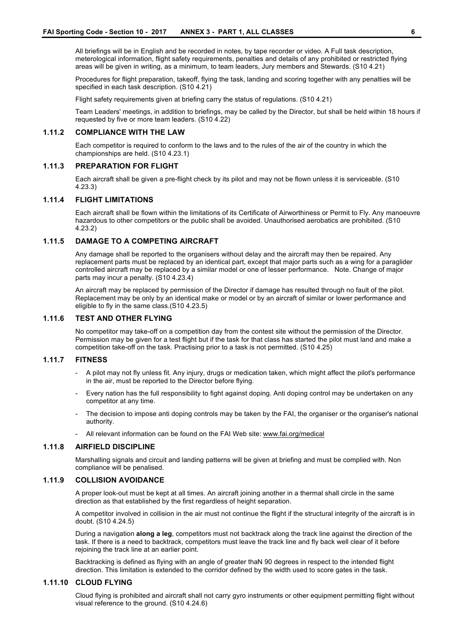All briefings will be in English and be recorded in notes, by tape recorder or video. A Full task description, meterological information, flight safety requirements, penalties and details of any prohibited or restricted flying areas will be given in writing, as a minimum, to team leaders, Jury members and Stewards. (S10 4.21)

Procedures for flight preparation, takeoff, flying the task, landing and scoring together with any penalties will be specified in each task description. (S10 4.21)

Flight safety requirements given at briefing carry the status of regulations. (S10 4.21)

Team Leaders' meetings, in addition to briefings, may be called by the Director, but shall be held within 18 hours if requested by five or more team leaders. (S10 4.22)

#### **1.11.2 COMPLIANCE WITH THE LAW**

Each competitor is required to conform to the laws and to the rules of the air of the country in which the championships are held. (S10 4.23.1)

#### **1.11.3 PREPARATION FOR FLIGHT**

Each aircraft shall be given a pre-flight check by its pilot and may not be flown unless it is serviceable. (S10 4.23.3)

### **1.11.4 FLIGHT LIMITATIONS**

Each aircraft shall be flown within the limitations of its Certificate of Airworthiness or Permit to Fly. Any manoeuvre hazardous to other competitors or the public shall be avoided. Unauthorised aerobatics are prohibited. (S10 4.23.2)

### **1.11.5 DAMAGE TO A COMPETING AIRCRAFT**

Any damage shall be reported to the organisers without delay and the aircraft may then be repaired. Any replacement parts must be replaced by an identical part, except that major parts such as a wing for a paraglider controlled aircraft may be replaced by a similar model or one of lesser performance. Note. Change of major parts may incur a penalty. (S10 4.23.4)

An aircraft may be replaced by permission of the Director if damage has resulted through no fault of the pilot. Replacement may be only by an identical make or model or by an aircraft of similar or lower performance and eligible to fly in the same class.(S10 4.23.5)

### **1.11.6 TEST AND OTHER FLYING**

No competitor may take-off on a competition day from the contest site without the permission of the Director. Permission may be given for a test flight but if the task for that class has started the pilot must land and make a competition take-off on the task. Practising prior to a task is not permitted. (S10 4.25)

#### **1.11.7 FITNESS**

- A pilot may not fly unless fit. Any injury, drugs or medication taken, which might affect the pilot's performance in the air, must be reported to the Director before flying.
- Every nation has the full responsibility to fight against doping. Anti doping control may be undertaken on any competitor at any time.
- The decision to impose anti doping controls may be taken by the FAI, the organiser or the organiser's national authority.
- All relevant information can be found on the FAI Web site: www.fai.org/medical

#### **1.11.8 AIRFIELD DISCIPLINE**

Marshalling signals and circuit and landing patterns will be given at briefing and must be complied with. Non compliance will be penalised.

### **1.11.9 COLLISION AVOIDANCE**

A proper look-out must be kept at all times. An aircraft joining another in a thermal shall circle in the same direction as that established by the first regardless of height separation.

A competitor involved in collision in the air must not continue the flight if the structural integrity of the aircraft is in doubt. (S10 4.24.5)

During a navigation **along a leg**, competitors must not backtrack along the track line against the direction of the task. If there is a need to backtrack, competitors must leave the track line and fly back well clear of it before rejoining the track line at an earlier point.

Backtracking is defined as flying with an angle of greater thaN 90 degrees in respect to the intended flight direction. This limitation is extended to the corridor defined by the width used to score gates in the task.

#### **1.11.10 CLOUD FLYING**

Cloud flying is prohibited and aircraft shall not carry gyro instruments or other equipment permitting flight without visual reference to the ground. (S10 4.24.6)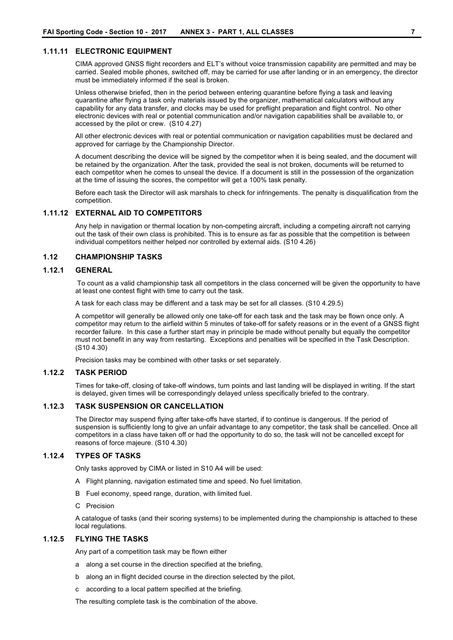### **1.11.11 ELECTRONIC EQUIPMENT**

CIMA approved GNSS flight recorders and ELT's without voice transmission capability are permitted and may be carried. Sealed mobile phones, switched off, may be carried for use after landing or in an emergency, the director must be immediately informed if the seal is broken.

Unless otherwise briefed, then in the period between entering quarantine before flying a task and leaving quarantine after flying a task only materials issued by the organizer, mathematical calculators without any capability for any data transfer, and clocks may be used for preflight preparation and flight control. No other electronic devices with real or potential communication and/or navigation capabilities shall be available to, or accessed by the pilot or crew. (S10 4.27)

All other electronic devices with real or potential communication or navigation capabilities must be declared and approved for carriage by the Championship Director.

A document describing the device will be signed by the competitor when it is being sealed, and the document will be retained by the organization. After the task, provided the seal is not broken, documents will be returned to each competitor when he comes to unseal the device. If a document is still in the possession of the organization at the time of issuing the scores, the competitor will get a 100% task penalty.

Before each task the Director will ask marshals to check for infringements. The penalty is disqualification from the competition.

#### **1.11.12 EXTERNAL AID TO COMPETITORS**

Any help in navigation or thermal location by non-competing aircraft, including a competing aircraft not carrying out the task of their own class is prohibited. This is to ensure as far as possible that the competition is between individual competitors neither helped nor controlled by external aids. (S10 4.26)

### **1.12 CHAMPIONSHIP TASKS**

### **1.12.1 GENERAL**

To count as a valid championship task all competitors in the class concerned will be given the opportunity to have at least one contest flight with time to carry out the task.

A task for each class may be different and a task may be set for all classes. (S10 4.29.5)

A competitor will generally be allowed only one take-off for each task and the task may be flown once only. A competitor may return to the airfield within 5 minutes of take-off for safety reasons or in the event of a GNSS flight recorder failure. In this case a further start may in principle be made without penalty but equally the competitor must not benefit in any way from restarting. Exceptions and penalties will be specified in the Task Description. (S10 4.30)

Precision tasks may be combined with other tasks or set separately.

### **1.12.2 TASK PERIOD**

Times for take-off, closing of take-off windows, turn points and last landing will be displayed in writing. If the start is delayed, given times will be correspondingly delayed unless specifically briefed to the contrary.

### **1.12.3 TASK SUSPENSION OR CANCELLATION**

The Director may suspend flying after take-offs have started, if to continue is dangerous. If the period of suspension is sufficiently long to give an unfair advantage to any competitor, the task shall be cancelled. Once all competitors in a class have taken off or had the opportunity to do so, the task will not be cancelled except for reasons of force majeure. (S10 4.30)

### **1.12.4 TYPES OF TASKS**

Only tasks approved by CIMA or listed in S10 A4 will be used:

- A Flight planning, navigation estimated time and speed. No fuel limitation.
- B Fuel economy, speed range, duration, with limited fuel.
- C Precision

A catalogue of tasks (and their scoring systems) to be implemented during the championship is attached to these local regulations.

### **1.12.5 FLYING THE TASKS**

Any part of a competition task may be flown either

- a along a set course in the direction specified at the briefing,
- b along an in flight decided course in the direction selected by the pilot,
- c according to a local pattern specified at the briefing.

The resulting complete task is the combination of the above.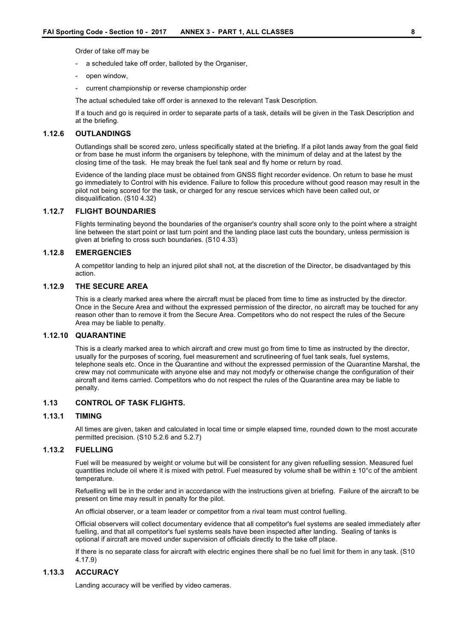Order of take off may be

- a scheduled take off order, balloted by the Organiser,
- open window,
- current championship or reverse championship order

The actual scheduled take off order is annexed to the relevant Task Description.

If a touch and go is required in order to separate parts of a task, details will be given in the Task Description and at the briefing.

#### **1.12.6 OUTLANDINGS**

Outlandings shall be scored zero, unless specifically stated at the briefing. If a pilot lands away from the goal field or from base he must inform the organisers by telephone, with the minimum of delay and at the latest by the closing time of the task. He may break the fuel tank seal and fly home or return by road.

Evidence of the landing place must be obtained from GNSS flight recorder evidence. On return to base he must go immediately to Control with his evidence. Failure to follow this procedure without good reason may result in the pilot not being scored for the task, or charged for any rescue services which have been called out, or disqualification. (S10 4.32)

#### **1.12.7 FLIGHT BOUNDARIES**

Flights terminating beyond the boundaries of the organiser's country shall score only to the point where a straight line between the start point or last turn point and the landing place last cuts the boundary, unless permission is given at briefing to cross such boundaries. (S10 4.33)

### **1.12.8 EMERGENCIES**

A competitor landing to help an injured pilot shall not, at the discretion of the Director, be disadvantaged by this action.

### **1.12.9 THE SECURE AREA**

This is a clearly marked area where the aircraft must be placed from time to time as instructed by the director. Once in the Secure Area and without the expressed permission of the director, no aircraft may be touched for any reason other than to remove it from the Secure Area. Competitors who do not respect the rules of the Secure Area may be liable to penalty.

### **1.12.10 QUARANTINE**

This is a clearly marked area to which aircraft and crew must go from time to time as instructed by the director, usually for the purposes of scoring, fuel measurement and scrutineering of fuel tank seals, fuel systems, telephone seals etc. Once in the Quarantine and without the expressed permission of the Quarantine Marshal, the crew may not communicate with anyone else and may not modyfy or otherwise change the configuration of their aircraft and items carried. Competitors who do not respect the rules of the Quarantine area may be liable to penalty.

### **1.13 CONTROL OF TASK FLIGHTS.**

### **1.13.1 TIMING**

All times are given, taken and calculated in local time or simple elapsed time, rounded down to the most accurate permitted precision. (S10 5.2.6 and 5.2.7)

#### **1.13.2 FUELLING**

Fuel will be measured by weight or volume but will be consistent for any given refuelling session. Measured fuel quantities include oil where it is mixed with petrol. Fuel measured by volume shall be within  $\pm 10^{\circ}$ c of the ambient temperature.

Refuelling will be in the order and in accordance with the instructions given at briefing. Failure of the aircraft to be present on time may result in penalty for the pilot.

An official observer, or a team leader or competitor from a rival team must control fuelling.

Official observers will collect documentary evidence that all competitor's fuel systems are sealed immediately after fuelling, and that all competitor's fuel systems seals have been inspected after landing. Sealing of tanks is optional if aircraft are moved under supervision of officials directly to the take off place.

If there is no separate class for aircraft with electric engines there shall be no fuel limit for them in any task. (S10 4.17.9)

### **1.13.3 ACCURACY**

Landing accuracy will be verified by video cameras.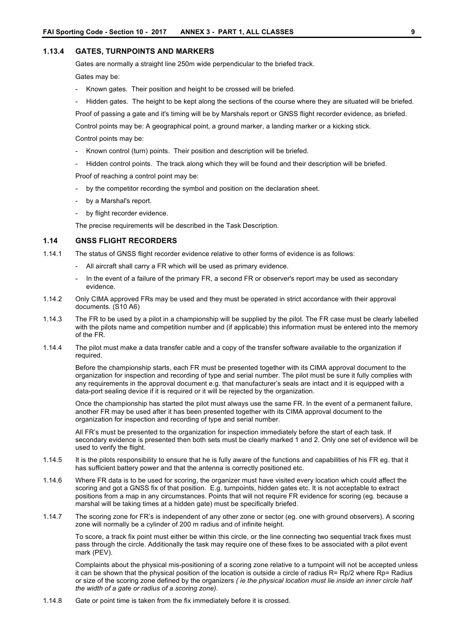### **1.13.4 GATES, TURNPOINTS AND MARKERS**

Gates are normally a straight line 250m wide perpendicular to the briefed track.

Gates may be:

- Known gates. Their position and height to be crossed will be briefed.
- Hidden gates. The height to be kept along the sections of the course where they are situated will be briefed.

Proof of passing a gate and it's timing will be by Marshals report or GNSS flight recorder evidence, as briefed.

Control points may be: A geographical point, a ground marker, a landing marker or a kicking stick.

Control points may be:

- Known control (turn) points. Their position and description will be briefed.
- Hidden control points. The track along which they will be found and their description will be briefed.

Proof of reaching a control point may be:

- by the competitor recording the symbol and position on the declaration sheet.
- by a Marshal's report.
- by flight recorder evidence.

The precise requirements will be described in the Task Description.

### **1.14 GNSS FLIGHT RECORDERS**

1.14.1 The status of GNSS flight recorder evidence relative to other forms of evidence is as follows:

- All aircraft shall carry a FR which will be used as primary evidence.
- In the event of a failure of the primary FR, a second FR or observer's report may be used as secondary evidence.
- 1.14.2 Only CIMA approved FRs may be used and they must be operated in strict accordance with their approval documents. (S10 A6)
- 1.14.3 The FR to be used by a pilot in a championship will be supplied by the pilot. The FR case must be clearly labelled with the pilots name and competition number and (if applicable) this information must be entered into the memory of the FR.
- 1.14.4 The pilot must make a data transfer cable and a copy of the transfer software available to the organization if required.

Before the championship starts, each FR must be presented together with its CIMA approval document to the organization for inspection and recording of type and serial number. The pilot must be sure it fully complies with any requirements in the approval document e.g. that manufacturer's seals are intact and it is equipped with a data-port sealing device if it is required or it will be rejected by the organization.

Once the championship has started the pilot must always use the same FR. In the event of a permanent failure, another FR may be used after it has been presented together with its CIMA approval document to the organization for inspection and recording of type and serial number.

All FR's must be presented to the organization for inspection immediately before the start of each task. If secondary evidence is presented then both sets must be clearly marked 1 and 2. Only one set of evidence will be used to verify the flight.

- 1.14.5 It is the pilots responsibility to ensure that he is fully aware of the functions and capabilities of his FR eg. that it has sufficient battery power and that the antenna is correctly positioned etc.
- 1.14.6 Where FR data is to be used for scoring, the organizer must have visited every location which could affect the scoring and got a GNSS fix of that position. E.g. turnpoints, hidden gates etc. It is not acceptable to extract positions from a map in any circumstances. Points that will not require FR evidence for scoring (eg. because a marshal will be taking times at a hidden gate) must be specifically briefed.
- 1.14.7 The scoring zone for FR's is independent of any other zone or sector (eg. one with ground observers). A scoring zone will normally be a cylinder of 200 m radius and of infinite height.

To score, a track fix point must either be within this circle, or the line connecting two sequential track fixes must pass through the circle. Additionally the task may require one of these fixes to be associated with a pilot event mark (PEV).

Complaints about the physical mis-positioning of a scoring zone relative to a turnpoint will not be accepted unless it can be shown that the physical position of the location is outside a circle of radius R= Rp/2 where Rp= Radius or size of the scoring zone defined by the organizers *( ie the physical location must lie inside an inner circle half the width of a gate or radius of a scoring zone).*

1.14.8 Gate or point time is taken from the fix immediately before it is crossed.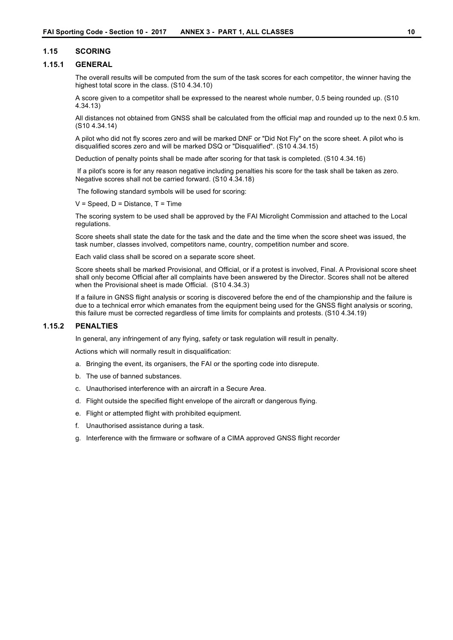### **1.15 SCORING**

### **1.15.1 GENERAL**

The overall results will be computed from the sum of the task scores for each competitor, the winner having the highest total score in the class. (S10 4.34.10)

A score given to a competitor shall be expressed to the nearest whole number, 0.5 being rounded up. (S10 4.34.13)

All distances not obtained from GNSS shall be calculated from the official map and rounded up to the next 0.5 km. (S10 4.34.14)

A pilot who did not fly scores zero and will be marked DNF or "Did Not Fly" on the score sheet. A pilot who is disqualified scores zero and will be marked DSQ or "Disqualified". (S10 4.34.15)

Deduction of penalty points shall be made after scoring for that task is completed. (S10 4.34.16)

If a pilot's score is for any reason negative including penalties his score for the task shall be taken as zero. Negative scores shall not be carried forward. (S10 4.34.18)

The following standard symbols will be used for scoring:

 $V =$  Speed,  $D =$  Distance,  $T =$  Time

The scoring system to be used shall be approved by the FAI Microlight Commission and attached to the Local regulations.

Score sheets shall state the date for the task and the date and the time when the score sheet was issued, the task number, classes involved, competitors name, country, competition number and score.

Each valid class shall be scored on a separate score sheet.

Score sheets shall be marked Provisional, and Official, or if a protest is involved, Final. A Provisional score sheet shall only become Official after all complaints have been answered by the Director. Scores shall not be altered when the Provisional sheet is made Official. (S10 4.34.3)

If a failure in GNSS flight analysis or scoring is discovered before the end of the championship and the failure is due to a technical error which emanates from the equipment being used for the GNSS flight analysis or scoring, this failure must be corrected regardless of time limits for complaints and protests. (S10 4.34.19)

#### **1.15.2 PENALTIES**

In general, any infringement of any flying, safety or task regulation will result in penalty.

Actions which will normally result in disqualification:

- a. Bringing the event, its organisers, the FAI or the sporting code into disrepute.
- b. The use of banned substances.
- c. Unauthorised interference with an aircraft in a Secure Area.
- d. Flight outside the specified flight envelope of the aircraft or dangerous flying.
- e. Flight or attempted flight with prohibited equipment.
- f. Unauthorised assistance during a task.
- g. Interference with the firmware or software of a CIMA approved GNSS flight recorder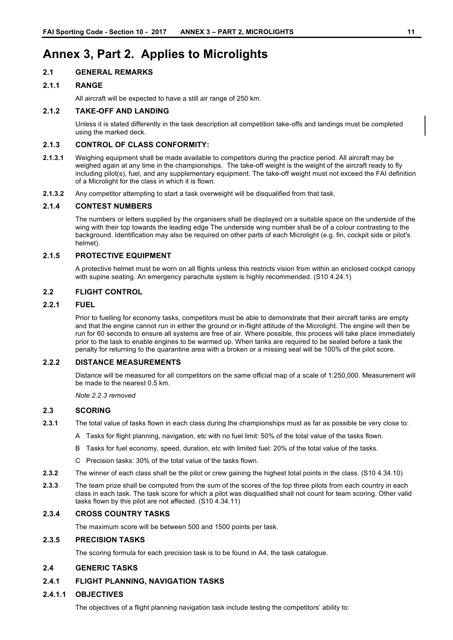# **Annex 3, Part 2. Applies to Microlights**

### **2.1 GENERAL REMARKS**

### **2.1.1 RANGE**

All aircraft will be expected to have a still air range of 250 km.

### **2.1.2 TAKE-OFF AND LANDING**

Unless it is stated differently in the task description all competition take-offs and landings must be completed using the marked deck.

### **2.1.3 CONTROL OF CLASS CONFORMITY:**

- **2.1.3.1** Weighing equipment shall be made available to competitors during the practice period. All aircraft may be weighed again at any time in the championships. The take-off weight is the weight of the aircraft ready to fly including pilot(s), fuel, and any supplementary equipment. The take-off weight must not exceed the FAI definition of a Microlight for the class in which it is flown.
- **2.1.3.2** Any competitor attempting to start a task overweight will be disqualified from that task.

### **2.1.4 CONTEST NUMBERS**

The numbers or letters supplied by the organisers shall be displayed on a suitable space on the underside of the wing with their top towards the leading edge The underside wing number shall be of a colour contrasting to the background. Identification may also be required on other parts of each Microlight (e.g. fin, cockpit side or pilot's helmet).

### **2.1.5 PROTECTIVE EQUIPMENT**

A protective helmet must be worn on all flights unless this restricts vision from within an enclosed cockpit canopy with supine seating. An emergency parachute system is highly recommended. (S10 4.24.1)

### **2.2 FLIGHT CONTROL**

### **2.2.1 FUEL**

Prior to fuelling for economy tasks, competitors must be able to demonstrate that their aircraft tanks are empty and that the engine cannot run in either the ground or in-flight attitude of the Microlight. The engine will then be run for 60 seconds to ensure all systems are free of air. Where possible, this process will take place immediately prior to the task to enable engines to be warmed up. When tanks are required to be sealed before a task the penalty for returning to the quarantine area with a broken or a missing seal will be 100% of the pilot score.

### **2.2.2 DISTANCE MEASUREMENTS**

Distance will be measured for all competitors on the same official map of a scale of 1:250,000. Measurement will be made to the nearest 0.5 km.

*Note:2.2.3 removed*

### **2.3 SCORING**

- **2.3.1** The total value of tasks flown in each class during the championships must as far as possible be very close to:
	- A Tasks for flight planning, navigation, etc with no fuel limit: 50% of the total value of the tasks flown.
	- B Tasks for fuel economy, speed, duration, etc with limited fuel: 20% of the total value of the tasks.
	- C Precision tasks: 30% of the total value of the tasks flown.
- **2.3.2** The winner of each class shall be the pilot or crew gaining the highest total points in the class. (S10 4.34.10)
- **2.3.3** The team prize shall be computed from the sum of the scores of the top three pilots from each country in each class in each task. The task score for which a pilot was disqualified shall not count for team scoring. Other valid tasks flown by this pilot are not affected. (S10 4.34.11)

### **2.3.4 CROSS COUNTRY TASKS**

The maximum score will be between 500 and 1500 points per task.

### **2.3.5 PRECISION TASKS**

The scoring formula for each precision task is to be found in A4, the task catalogue.

### **2.4 GENERIC TASKS**

### **2.4.1 FLIGHT PLANNING, NAVIGATION TASKS**

### **2.4.1.1 OBJECTIVES**

The objectives of a flight planning navigation task include testing the competitors' ability to: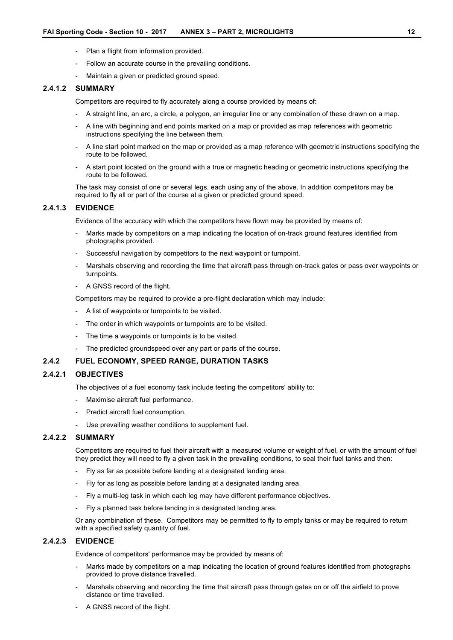- Plan a flight from information provided.
- Follow an accurate course in the prevailing conditions.
- Maintain a given or predicted ground speed.

### **2.4.1.2 SUMMARY**

Competitors are required to fly accurately along a course provided by means of:

- A straight line, an arc, a circle, a polygon, an irregular line or any combination of these drawn on a map.
- A line with beginning and end points marked on a map or provided as map references with geometric instructions specifying the line between them.
- A line start point marked on the map or provided as a map reference with geometric instructions specifying the route to be followed.
- A start point located on the ground with a true or magnetic heading or geometric instructions specifying the route to be followed.

The task may consist of one or several legs, each using any of the above. In addition competitors may be required to fly all or part of the course at a given or predicted ground speed.

### **2.4.1.3 EVIDENCE**

Evidence of the accuracy with which the competitors have flown may be provided by means of:

- Marks made by competitors on a map indicating the location of on-track ground features identified from photographs provided.
- Successful navigation by competitors to the next waypoint or turnpoint.
- Marshals observing and recording the time that aircraft pass through on-track gates or pass over waypoints or turnpoints.
- A GNSS record of the flight.

Competitors may be required to provide a pre-flight declaration which may include:

- A list of waypoints or turnpoints to be visited.
- The order in which waypoints or turnpoints are to be visited.
- The time a waypoints or turnpoints is to be visited.
- The predicted groundspeed over any part or parts of the course.

### **2.4.2 FUEL ECONOMY, SPEED RANGE, DURATION TASKS**

### **2.4.2.1 OBJECTIVES**

The objectives of a fuel economy task include testing the competitors' ability to:

- Maximise aircraft fuel performance.
- Predict aircraft fuel consumption.
- Use prevailing weather conditions to supplement fuel.

### **2.4.2.2 SUMMARY**

Competitors are required to fuel their aircraft with a measured volume or weight of fuel, or with the amount of fuel they predict they will need to fly a given task in the prevailing conditions, to seal their fuel tanks and then:

- Fly as far as possible before landing at a designated landing area.
- Fly for as long as possible before landing at a designated landing area.
- Fly a multi-leg task in which each leg may have different performance objectives.
- Fly a planned task before landing in a designated landing area.

Or any combination of these. Competitors may be permitted to fly to empty tanks or may be required to return with a specified safety quantity of fuel.

### **2.4.2.3 EVIDENCE**

Evidence of competitors' performance may be provided by means of:

- Marks made by competitors on a map indicating the location of ground features identified from photographs provided to prove distance travelled.
- Marshals observing and recording the time that aircraft pass through gates on or off the airfield to prove distance or time travelled.
- A GNSS record of the flight.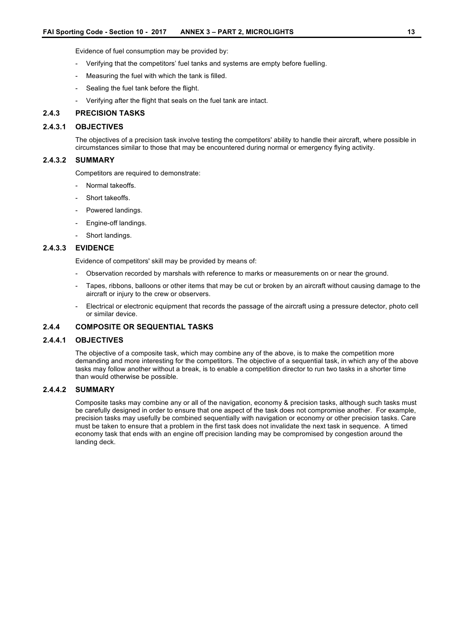Evidence of fuel consumption may be provided by:

- Verifying that the competitors' fuel tanks and systems are empty before fuelling.
- Measuring the fuel with which the tank is filled.
- Sealing the fuel tank before the flight.
- Verifying after the flight that seals on the fuel tank are intact.

### **2.4.3 PRECISION TASKS**

### **2.4.3.1 OBJECTIVES**

The objectives of a precision task involve testing the competitors' ability to handle their aircraft, where possible in circumstances similar to those that may be encountered during normal or emergency flying activity.

#### **2.4.3.2 SUMMARY**

Competitors are required to demonstrate:

- Normal takeoffs.
- Short takeoffs.
- Powered landings.
- Engine-off landings.
- Short landings.

### **2.4.3.3 EVIDENCE**

Evidence of competitors' skill may be provided by means of:

- Observation recorded by marshals with reference to marks or measurements on or near the ground.
- Tapes, ribbons, balloons or other items that may be cut or broken by an aircraft without causing damage to the aircraft or injury to the crew or observers.
- Electrical or electronic equipment that records the passage of the aircraft using a pressure detector, photo cell or similar device.

### **2.4.4 COMPOSITE OR SEQUENTIAL TASKS**

### **2.4.4.1 OBJECTIVES**

The objective of a composite task, which may combine any of the above, is to make the competition more demanding and more interesting for the competitors. The objective of a sequential task, in which any of the above tasks may follow another without a break, is to enable a competition director to run two tasks in a shorter time than would otherwise be possible.

#### **2.4.4.2 SUMMARY**

Composite tasks may combine any or all of the navigation, economy & precision tasks, although such tasks must be carefully designed in order to ensure that one aspect of the task does not compromise another. For example, precision tasks may usefully be combined sequentially with navigation or economy or other precision tasks. Care must be taken to ensure that a problem in the first task does not invalidate the next task in sequence. A timed economy task that ends with an engine off precision landing may be compromised by congestion around the landing deck.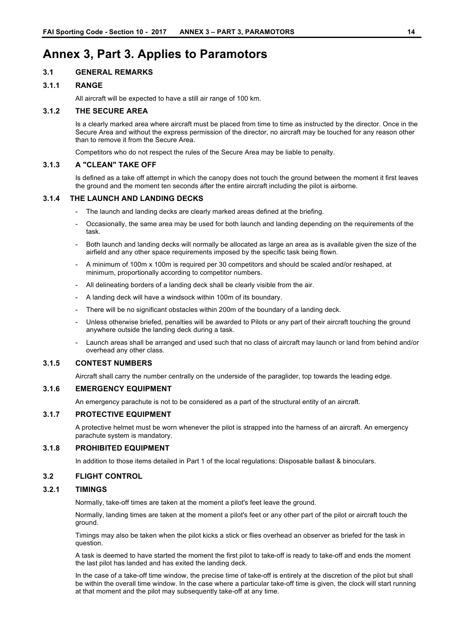# **Annex 3, Part 3. Applies to Paramotors**

### **3.1 GENERAL REMARKS**

### **3.1.1 RANGE**

All aircraft will be expected to have a still air range of 100 km.

### **3.1.2 THE SECURE AREA**

Is a clearly marked area where aircraft must be placed from time to time as instructed by the director. Once in the Secure Area and without the express permission of the director, no aircraft may be touched for any reason other than to remove it from the Secure Area.

Competitors who do not respect the rules of the Secure Area may be liable to penalty.

### **3.1.3 A "CLEAN" TAKE OFF**

Is defined as a take off attempt in which the canopy does not touch the ground between the moment it first leaves the ground and the moment ten seconds after the entire aircraft including the pilot is airborne.

#### **3.1.4 THE LAUNCH AND LANDING DECKS**

- The launch and landing decks are clearly marked areas defined at the briefing.
- Occasionally, the same area may be used for both launch and landing depending on the requirements of the task.
- Both launch and landing decks will normally be allocated as large an area as is available given the size of the airfield and any other space requirements imposed by the specific task being flown.
- A minimum of 100m x 100m is required per 30 competitors and should be scaled and/or reshaped, at minimum, proportionally according to competitor numbers.
- All delineating borders of a landing deck shall be clearly visible from the air.
- A landing deck will have a windsock within 100m of its boundary.
- There will be no significant obstacles within 200m of the boundary of a landing deck.
- Unless otherwise briefed, penalties will be awarded to Pilots or any part of their aircraft touching the ground anywhere outside the landing deck during a task.
- Launch areas shall be arranged and used such that no class of aircraft may launch or land from behind and/or overhead any other class.

### **3.1.5 CONTEST NUMBERS**

Aircraft shall carry the number centrally on the underside of the paraglider, top towards the leading edge.

### **3.1.6 EMERGENCY EQUIPMENT**

An emergency parachute is not to be considered as a part of the structural entity of an aircraft.

### **3.1.7 PROTECTIVE EQUIPMENT**

A protective helmet must be worn whenever the pilot is strapped into the harness of an aircraft. An emergency parachute system is mandatory.

### **3.1.8 PROHIBITED EQUIPMENT**

In addition to those items detailed in Part 1 of the local regulations: Disposable ballast & binoculars.

#### **3.2 FLIGHT CONTROL**

#### **3.2.1 TIMINGS**

Normally, take-off times are taken at the moment a pilot's feet leave the ground.

Normally, landing times are taken at the moment a pilot's feet or any other part of the pilot or aircraft touch the ground.

Timings may also be taken when the pilot kicks a stick or flies overhead an observer as briefed for the task in question.

A task is deemed to have started the moment the first pilot to take-off is ready to take-off and ends the moment the last pilot has landed and has exited the landing deck.

In the case of a take-off time window, the precise time of take-off is entirely at the discretion of the pilot but shall be within the overall time window. In the case where a particular take-off time is given, the clock will start running at that moment and the pilot may subsequently take-off at any time.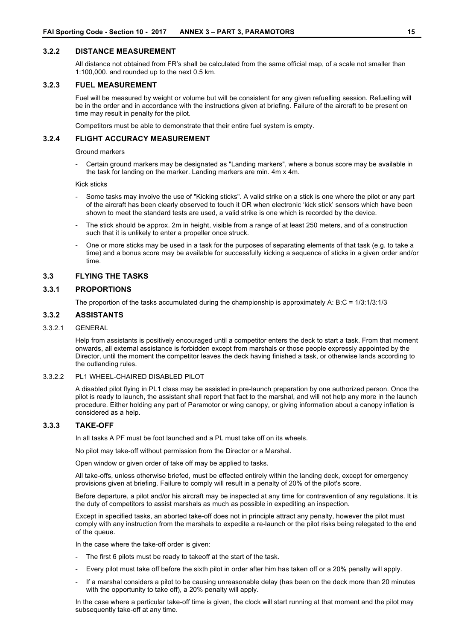### **3.2.2 DISTANCE MEASUREMENT**

All distance not obtained from FR's shall be calculated from the same official map, of a scale not smaller than 1:100,000. and rounded up to the next 0.5 km.

#### **3.2.3 FUEL MEASUREMENT**

Fuel will be measured by weight or volume but will be consistent for any given refuelling session. Refuelling will be in the order and in accordance with the instructions given at briefing. Failure of the aircraft to be present on time may result in penalty for the pilot.

Competitors must be able to demonstrate that their entire fuel system is empty.

### **3.2.4 FLIGHT ACCURACY MEASUREMENT**

#### Ground markers

Certain ground markers may be designated as "Landing markers", where a bonus score may be available in the task for landing on the marker. Landing markers are min. 4m x 4m.

Kick sticks

- Some tasks may involve the use of "Kicking sticks". A valid strike on a stick is one where the pilot or any part of the aircraft has been clearly observed to touch it OR when electronic 'kick stick' sensors which have been shown to meet the standard tests are used, a valid strike is one which is recorded by the device.
- The stick should be approx. 2m in height, visible from a range of at least 250 meters, and of a construction such that it is unlikely to enter a propeller once struck.
- One or more sticks may be used in a task for the purposes of separating elements of that task (e.g. to take a time) and a bonus score may be available for successfully kicking a sequence of sticks in a given order and/or time.

#### **3.3 FLYING THE TASKS**

#### **3.3.1 PROPORTIONS**

The proportion of the tasks accumulated during the championship is approximately A: B:C = 1/3:1/3:1/3

### **3.3.2 ASSISTANTS**

#### 3.3.2.1 GENERAL

Help from assistants is positively encouraged until a competitor enters the deck to start a task. From that moment onwards, all external assistance is forbidden except from marshals or those people expressly appointed by the Director, until the moment the competitor leaves the deck having finished a task, or otherwise lands according to the outlanding rules.

#### 3.3.2.2 PL1 WHEEL-CHAIRED DISABLED PILOT

A disabled pilot flying in PL1 class may be assisted in pre-launch preparation by one authorized person. Once the pilot is ready to launch, the assistant shall report that fact to the marshal, and will not help any more in the launch procedure. Either holding any part of Paramotor or wing canopy, or giving information about a canopy inflation is considered as a help.

### **3.3.3 TAKE-OFF**

In all tasks A PF must be foot launched and a PL must take off on its wheels.

No pilot may take-off without permission from the Director or a Marshal.

Open window or given order of take off may be applied to tasks.

All take-offs, unless otherwise briefed, must be effected entirely within the landing deck, except for emergency provisions given at briefing. Failure to comply will result in a penalty of 20% of the pilot's score.

Before departure, a pilot and/or his aircraft may be inspected at any time for contravention of any regulations. It is the duty of competitors to assist marshals as much as possible in expediting an inspection.

Except in specified tasks, an aborted take-off does not in principle attract any penalty, however the pilot must comply with any instruction from the marshals to expedite a re-launch or the pilot risks being relegated to the end of the queue.

In the case where the take-off order is given:

- The first 6 pilots must be ready to takeoff at the start of the task.
- Every pilot must take off before the sixth pilot in order after him has taken off or a 20% penalty will apply.
- If a marshal considers a pilot to be causing unreasonable delay (has been on the deck more than 20 minutes with the opportunity to take off), a 20% penalty will apply.

In the case where a particular take-off time is given, the clock will start running at that moment and the pilot may subsequently take-off at any time.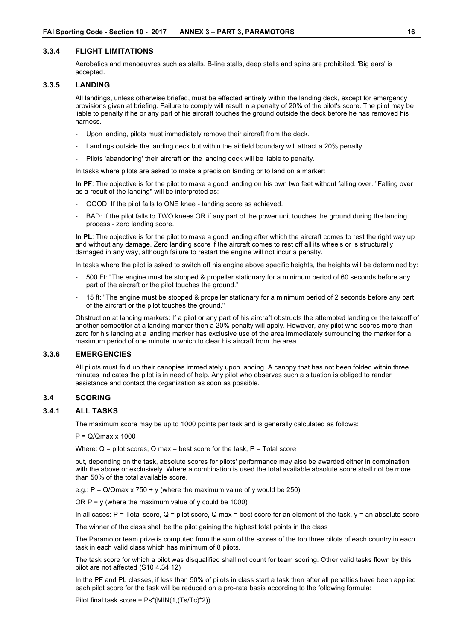#### **3.3.4 FLIGHT LIMITATIONS**

Aerobatics and manoeuvres such as stalls, B-line stalls, deep stalls and spins are prohibited. 'Big ears' is accepted.

#### **3.3.5 LANDING**

All landings, unless otherwise briefed, must be effected entirely within the landing deck, except for emergency provisions given at briefing. Failure to comply will result in a penalty of 20% of the pilot's score. The pilot may be liable to penalty if he or any part of his aircraft touches the ground outside the deck before he has removed his harness.

- Upon landing, pilots must immediately remove their aircraft from the deck.
- Landings outside the landing deck but within the airfield boundary will attract a 20% penalty.
- Pilots 'abandoning' their aircraft on the landing deck will be liable to penalty.

In tasks where pilots are asked to make a precision landing or to land on a marker:

**In PF**: The objective is for the pilot to make a good landing on his own two feet without falling over. "Falling over as a result of the landing" will be interpreted as:

- GOOD: If the pilot falls to ONE knee landing score as achieved.
- BAD: If the pilot falls to TWO knees OR if any part of the power unit touches the ground during the landing process - zero landing score.

**In PL**: The objective is for the pilot to make a good landing after which the aircraft comes to rest the right way up and without any damage. Zero landing score if the aircraft comes to rest off all its wheels or is structurally damaged in any way, although failure to restart the engine will not incur a penalty.

In tasks where the pilot is asked to switch off his engine above specific heights, the heights will be determined by:

- 500 Ft: "The engine must be stopped & propeller stationary for a minimum period of 60 seconds before any part of the aircraft or the pilot touches the ground."
- 15 ft: "The engine must be stopped & propeller stationary for a minimum period of 2 seconds before any part of the aircraft or the pilot touches the ground."

Obstruction at landing markers: If a pilot or any part of his aircraft obstructs the attempted landing or the takeoff of another competitor at a landing marker then a 20% penalty will apply. However, any pilot who scores more than zero for his landing at a landing marker has exclusive use of the area immediately surrounding the marker for a maximum period of one minute in which to clear his aircraft from the area.

#### **3.3.6 EMERGENCIES**

All pilots must fold up their canopies immediately upon landing. A canopy that has not been folded within three minutes indicates the pilot is in need of help. Any pilot who observes such a situation is obliged to render assistance and contact the organization as soon as possible.

#### **3.4 SCORING**

### **3.4.1 ALL TASKS**

The maximum score may be up to 1000 points per task and is generally calculated as follows:

 $P = Q/Qmax \times 1000$ 

Where:  $Q =$  pilot scores,  $Q$  max = best score for the task,  $P =$  Total score

but, depending on the task, absolute scores for pilots' performance may also be awarded either in combination with the above or exclusively. Where a combination is used the total available absolute score shall not be more than 50% of the total available score.

e.g.:  $P = Q/Qmax \times 750 + y$  (where the maximum value of y would be 250)

OR  $P = y$  (where the maximum value of y could be 1000)

In all cases:  $P =$  Total score,  $Q =$  pilot score,  $Q$  max = best score for an element of the task,  $y =$  an absolute score

The winner of the class shall be the pilot gaining the highest total points in the class

The Paramotor team prize is computed from the sum of the scores of the top three pilots of each country in each task in each valid class which has minimum of 8 pilots.

The task score for which a pilot was disqualified shall not count for team scoring. Other valid tasks flown by this pilot are not affected (S10 4.34.12)

In the PF and PL classes, if less than 50% of pilots in class start a task then after all penalties have been applied each pilot score for the task will be reduced on a pro-rata basis according to the following formula:

Pilot final task score = Ps\*(MIN(1,(Ts/Tc)\*2))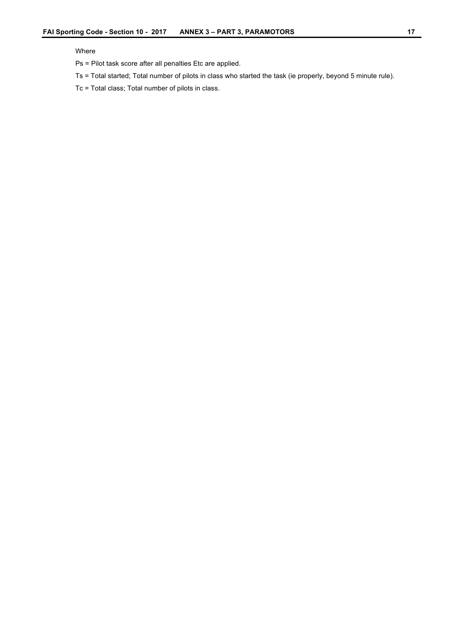### Where

Ps = Pilot task score after all penalties Etc are applied.

Ts = Total started; Total number of pilots in class who started the task (ie properly, beyond 5 minute rule).

Tc = Total class; Total number of pilots in class.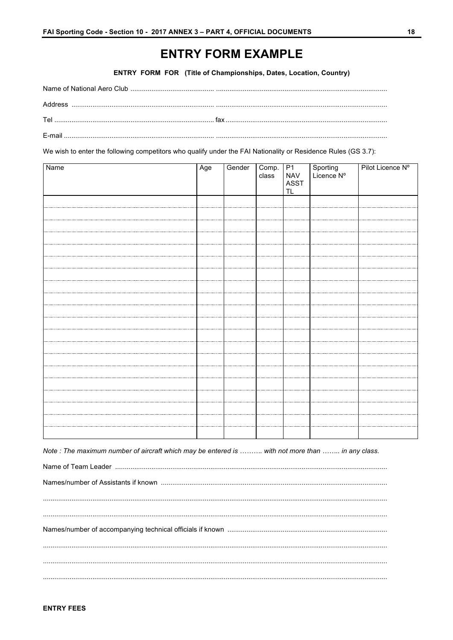# **ENTRY FORM EXAMPLE**

ENTRY FORM FOR (Title of Championships, Dates, Location, Country)

| F-mail and the contract of the contract of the contract of the contract of the contract of the contract of the |
|----------------------------------------------------------------------------------------------------------------|

We wish to enter the following competitors who qualify under the FAI Nationality or Residence Rules (GS 3.7):

| Name | Age | Gender | Comp. P1 |                    | Sporting<br>Licence Nº | Pilot Licence Nº |
|------|-----|--------|----------|--------------------|------------------------|------------------|
|      |     |        | class    | <b>NAV</b><br>ASST |                        |                  |
|      |     |        |          | TL                 |                        |                  |
|      |     |        |          |                    |                        |                  |
|      |     |        |          |                    |                        |                  |
|      |     |        |          |                    |                        |                  |
|      |     |        |          |                    |                        |                  |
|      |     |        |          |                    |                        |                  |
|      |     |        |          |                    |                        |                  |
|      |     |        |          |                    |                        |                  |
|      |     |        |          |                    |                        |                  |
|      |     |        |          |                    |                        |                  |
|      |     |        |          |                    |                        |                  |
|      |     |        |          |                    |                        |                  |
|      |     |        |          |                    |                        |                  |
|      |     |        |          |                    |                        |                  |
|      |     |        |          |                    |                        |                  |
|      |     |        |          |                    |                        |                  |
|      |     |        |          |                    |                        |                  |
|      |     |        |          |                    |                        |                  |
|      |     |        |          |                    |                        |                  |
|      |     |        |          |                    |                        |                  |
|      |     |        |          |                    |                        |                  |
|      |     |        |          |                    |                        |                  |

Note : The maximum number of aircraft which may be entered is ......... with not more than ........ in any class.